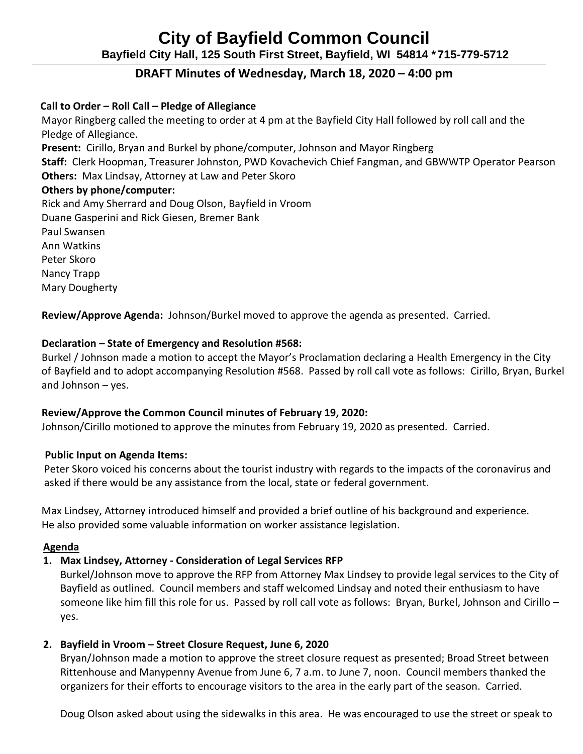# **City of Bayfield Common Council Bayfield City Hall, 125 South First Street, Bayfield, WI 54814 \*715-779-5712**

# **DRAFT Minutes of Wednesday, March 18, 2020 – 4:00 pm**

## **Call to Order – Roll Call – Pledge of Allegiance**

 Mayor Ringberg called the meeting to order at 4 pm at the Bayfield City Hall followed by roll call and the Pledge of Allegiance. **Present:** Cirillo, Bryan and Burkel by phone/computer, Johnson and Mayor Ringberg **Staff:** Clerk Hoopman, Treasurer Johnston, PWD Kovachevich Chief Fangman, and GBWWTP Operator Pearson  **Others:** Max Lindsay, Attorney at Law and Peter Skoro  **Others by phone/computer:**  Rick and Amy Sherrard and Doug Olson, Bayfield in Vroom Duane Gasperini and Rick Giesen, Bremer Bank Paul Swansen Ann Watkins Peter Skoro Nancy Trapp

Mary Dougherty

 **Review/Approve Agenda:** Johnson/Burkel moved to approve the agenda as presented. Carried.

## **Declaration – State of Emergency and Resolution #568:**

Burkel / Johnson made a motion to accept the Mayor's Proclamation declaring a Health Emergency in the City of Bayfield and to adopt accompanying Resolution #568. Passed by roll call vote as follows: Cirillo, Bryan, Burkel and Johnson – yes.

## **Review/Approve the Common Council minutes of February 19, 2020:**

Johnson/Cirillo motioned to approve the minutes from February 19, 2020 as presented. Carried.

## **Public Input on Agenda Items:**

Peter Skoro voiced his concerns about the tourist industry with regards to the impacts of the coronavirus and asked if there would be any assistance from the local, state or federal government.

 Max Lindsey, Attorney introduced himself and provided a brief outline of his background and experience. He also provided some valuable information on worker assistance legislation.

## **Agenda**

## **1. Max Lindsey, Attorney - Consideration of Legal Services RFP**

Burkel/Johnson move to approve the RFP from Attorney Max Lindsey to provide legal services to the City of Bayfield as outlined. Council members and staff welcomed Lindsay and noted their enthusiasm to have someone like him fill this role for us. Passed by roll call vote as follows: Bryan, Burkel, Johnson and Cirillo – yes.

## **2. Bayfield in Vroom – Street Closure Request, June 6, 2020**

Bryan/Johnson made a motion to approve the street closure request as presented; Broad Street between Rittenhouse and Manypenny Avenue from June 6, 7 a.m. to June 7, noon. Council members thanked the organizers for their efforts to encourage visitors to the area in the early part of the season. Carried.

Doug Olson asked about using the sidewalks in this area. He was encouraged to use the street or speak to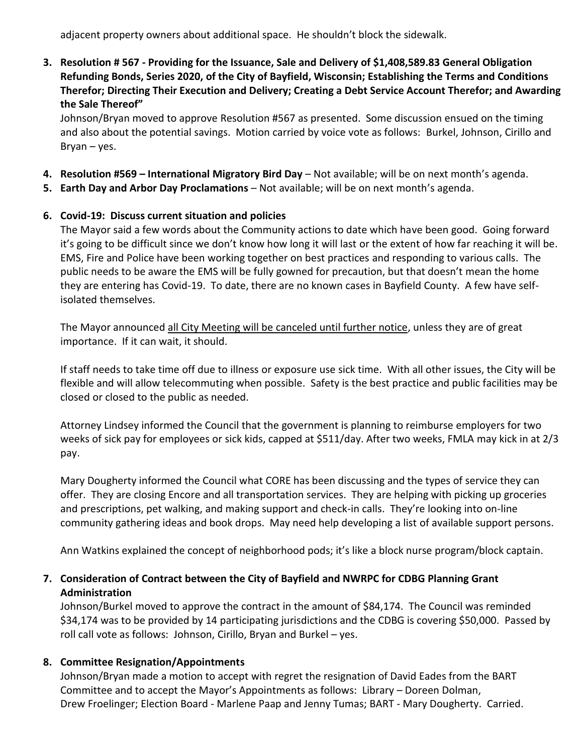adjacent property owners about additional space. He shouldn't block the sidewalk.

**3. Resolution # 567 - Providing for the Issuance, Sale and Delivery of \$1,408,589.83 General Obligation Refunding Bonds, Series 2020, of the City of Bayfield, Wisconsin; Establishing the Terms and Conditions Therefor; Directing Their Execution and Delivery; Creating a Debt Service Account Therefor; and Awarding the Sale Thereof"**

Johnson/Bryan moved to approve Resolution #567 as presented. Some discussion ensued on the timing and also about the potential savings. Motion carried by voice vote as follows: Burkel, Johnson, Cirillo and Bryan – yes.

- **4. Resolution #569 – International Migratory Bird Day** Not available; will be on next month's agenda.
- **5. Earth Day and Arbor Day Proclamations** Not available; will be on next month's agenda.

## **6. Covid-19: Discuss current situation and policies**

The Mayor said a few words about the Community actions to date which have been good. Going forward it's going to be difficult since we don't know how long it will last or the extent of how far reaching it will be. EMS, Fire and Police have been working together on best practices and responding to various calls. The public needs to be aware the EMS will be fully gowned for precaution, but that doesn't mean the home they are entering has Covid-19. To date, there are no known cases in Bayfield County. A few have selfisolated themselves.

The Mayor announced all City Meeting will be canceled until further notice, unless they are of great importance. If it can wait, it should.

If staff needs to take time off due to illness or exposure use sick time. With all other issues, the City will be flexible and will allow telecommuting when possible. Safety is the best practice and public facilities may be closed or closed to the public as needed.

Attorney Lindsey informed the Council that the government is planning to reimburse employers for two weeks of sick pay for employees or sick kids, capped at \$511/day. After two weeks, FMLA may kick in at 2/3 pay.

Mary Dougherty informed the Council what CORE has been discussing and the types of service they can offer. They are closing Encore and all transportation services. They are helping with picking up groceries and prescriptions, pet walking, and making support and check-in calls. They're looking into on-line community gathering ideas and book drops. May need help developing a list of available support persons.

Ann Watkins explained the concept of neighborhood pods; it's like a block nurse program/block captain.

## **7. Consideration of Contract between the City of Bayfield and NWRPC for CDBG Planning Grant Administration**

Johnson/Burkel moved to approve the contract in the amount of \$84,174. The Council was reminded \$34,174 was to be provided by 14 participating jurisdictions and the CDBG is covering \$50,000. Passed by roll call vote as follows: Johnson, Cirillo, Bryan and Burkel – yes.

## **8. Committee Resignation/Appointments**

Johnson/Bryan made a motion to accept with regret the resignation of David Eades from the BART Committee and to accept the Mayor's Appointments as follows: Library – Doreen Dolman, Drew Froelinger; Election Board - Marlene Paap and Jenny Tumas; BART - Mary Dougherty. Carried.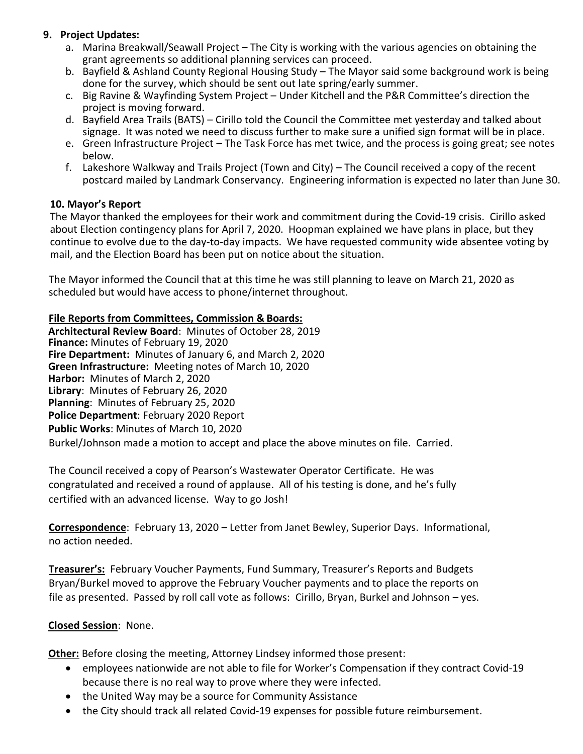## **9. Project Updates:**

- a. Marina Breakwall/Seawall Project The City is working with the various agencies on obtaining the grant agreements so additional planning services can proceed.
- b. Bayfield & Ashland County Regional Housing Study The Mayor said some background work is being done for the survey, which should be sent out late spring/early summer.
- c. Big Ravine & Wayfinding System Project Under Kitchell and the P&R Committee's direction the project is moving forward.
- d. Bayfield Area Trails (BATS) Cirillo told the Council the Committee met yesterday and talked about signage. It was noted we need to discuss further to make sure a unified sign format will be in place.
- e. Green Infrastructure Project The Task Force has met twice, and the process is going great; see notes below.
- f. Lakeshore Walkway and Trails Project (Town and City) The Council received a copy of the recent postcard mailed by Landmark Conservancy. Engineering information is expected no later than June 30.

## **10. Mayor's Report**

The Mayor thanked the employees for their work and commitment during the Covid-19 crisis. Cirillo asked about Election contingency plans for April 7, 2020. Hoopman explained we have plans in place, but they continue to evolve due to the day-to-day impacts. We have requested community wide absentee voting by mail, and the Election Board has been put on notice about the situation.

The Mayor informed the Council that at this time he was still planning to leave on March 21, 2020 as scheduled but would have access to phone/internet throughout.

## **File Reports from Committees, Commission & Boards:**

**Architectural Review Board**: Minutes of October 28, 2019 **Finance:** Minutes of February 19, 2020 **Fire Department:** Minutes of January 6, and March 2, 2020 **Green Infrastructure:** Meeting notes of March 10, 2020 **Harbor:** Minutes of March 2, 2020 **Library**: Minutes of February 26, 2020 **Planning**: Minutes of February 25, 2020 **Police Department**: February 2020 Report **Public Works**: Minutes of March 10, 2020 Burkel/Johnson made a motion to accept and place the above minutes on file. Carried.

The Council received a copy of Pearson's Wastewater Operator Certificate. He was congratulated and received a round of applause. All of his testing is done, and he's fully certified with an advanced license. Way to go Josh!

**Correspondence**: February 13, 2020 – Letter from Janet Bewley, Superior Days. Informational, no action needed.

**Treasurer's:** February Voucher Payments, Fund Summary, Treasurer's Reports and Budgets Bryan/Burkel moved to approve the February Voucher payments and to place the reports on file as presented. Passed by roll call vote as follows: Cirillo, Bryan, Burkel and Johnson – yes.

## **Closed Session**: None.

**Other:** Before closing the meeting, Attorney Lindsey informed those present:

- employees nationwide are not able to file for Worker's Compensation if they contract Covid-19 because there is no real way to prove where they were infected.
- the United Way may be a source for Community Assistance
- the City should track all related Covid-19 expenses for possible future reimbursement.